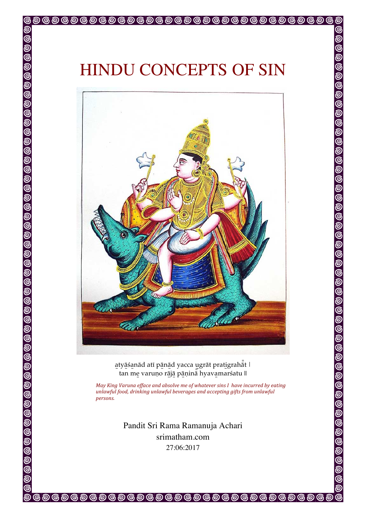ම

౷

ම

ଚ୍ଚ



atyāśanād atī pānād yacca ugrāt pratigrahāt | tan me varuṇo rājā pāṇinā hyavamarśatu ||

*May King Varuna efface and absolve me of whatever sins I have incurred by eating unlawful food, drinking unlawful beverages and accepting gifts from unlawful persons.*

> Pandit Sri Rama Ramanuja Achari srimatham.com 27:06:2017

**@@@@@@@@@@@@@@@@@@@@@@@@@@@@**@

ම

ெ ெ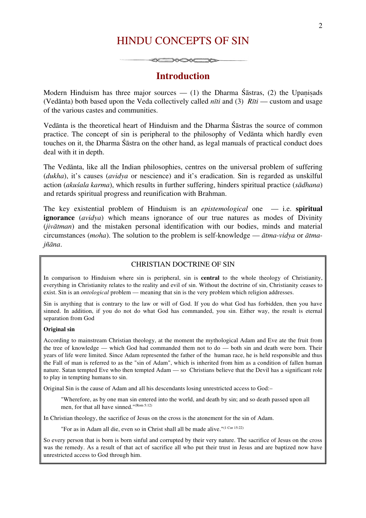# HINDU CONCEPTS OF SIN

# **Introduction**

Modern Hinduism has three major sources — (1) the Dharma Śāstras, (2) the Upanisads (Vedānta) both based upon the Veda collectively called *nīti* and (3) *Rīti* — custom and usage of the various castes and communities.

Vedānta is the theoretical heart of Hinduism and the Dharma Śāstras the source of common practice. The concept of sin is peripheral to the philosophy of Vedānta which hardly even touches on it, the Dharma Śāstra on the other hand, as legal manuals of practical conduct does deal with it in depth.

The Vedānta, like all the Indian philosophies, centres on the universal problem of suffering (*dukha*), it's causes (*avidya* or nescience) and it's eradication. Sin is regarded as unskilful action (*akuśala karma*), which results in further suffering, hinders spiritual practice (*sādhana*) and retards spiritual progress and reunification with Brahman.

The key existential problem of Hinduism is an *epistemological* one — i.e. **spiritual ignorance** (*avidya*) which means ignorance of our true natures as modes of Divinity (*jivātman*) and the mistaken personal identification with our bodies, minds and material circumstances (*moha*). The solution to the problem is self-knowledge — *ātma-vidya* or *ātmajñāna*.

#### CHRISTIAN DOCTRINE OF SIN

In comparison to Hinduism where sin is peripheral, sin is **central** to the whole theology of Christianity, everything in Christianity relates to the reality and evil of sin. Without the doctrine of sin, Christianity ceases to exist. Sin is an *ontological* problem — meaning that sin is the very problem which religion addresses.

Sin is anything that is contrary to the law or will of God. If you do what God has forbidden, then you have sinned. In addition, if you do not do what God has commanded, you sin. Either way, the result is eternal separation from God

#### **Original sin**

According to mainstream Christian theology, at the moment the mythological Adam and Eve ate the fruit from the tree of knowledge — which God had commanded them not to do — both sin and death were born. Their years of life were limited. Since Adam represented the father of the human race, he is held responsible and thus the Fall of man is referred to as the "sin of Adam", which is inherited from him as a condition of fallen human nature. Satan tempted Eve who then tempted Adam — so Christians believe that the Devil has a significant role to play in tempting humans to sin.

Original Sin is the cause of Adam and all his descendants losing unrestricted access to God:–

"Wherefore, as by one man sin entered into the world, and death by sin; and so death passed upon all men, for that all have sinned."(Rom 5:12)

In Christian theology, the sacrifice of Jesus on the cross is the atonement for the sin of Adam.

"For as in Adam all die, even so in Christ shall all be made alive."(1 Cor 15:22)

So every person that is born is born sinful and corrupted by their very nature. The sacrifice of Jesus on the cross was the remedy. As a result of that act of sacrifice all who put their trust in Jesus and are baptized now have unrestricted access to God through him.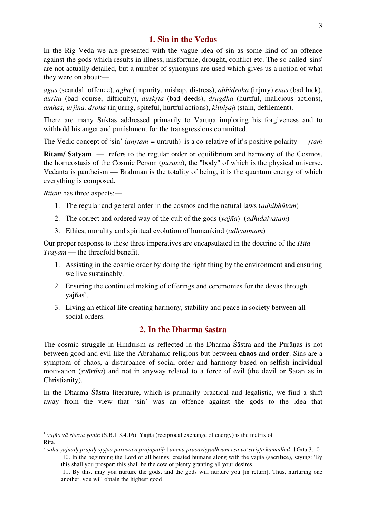### **1. Sin in the Vedas**

In the Rig Veda we are presented with the vague idea of sin as some kind of an offence against the gods which results in illness, misfortune, drought, conflict etc. The so called 'sins' are not actually detailed, but a number of synonyms are used which gives us a notion of what they were on about:—

*āgas* (scandal, offence), *agha* (impurity, mishap, distress), *abhidroha* (injury) *enas* (bad luck), *durita* (bad course, difficulty), *duskṛta* (bad deeds), *drugdha* (hurtful, malicious actions), *amhas, urjina, droha* (injuring, spiteful, hurtful actions), *kilbiṣaḥ* (stain, defilement).

There are many Sūktas addressed primarily to Varuna imploring his forgiveness and to withhold his anger and punishment for the transgressions committed.

The Vedic concept of 'sin' (*anṛtam =* untruth) is a co-relative of it's positive polarity — *ṛtaṁ*

**Ritam/ Satyam** — refers to the regular order or equilibrium and harmony of the Cosmos, the homeostasis of the Cosmic Person (*puruṣa*), the "body" of which is the physical universe. Vedānta is pantheism — Brahman is the totality of being, it is the quantum energy of which everything is composed.

*Ritam* has three aspects:—

- 1. The regular and general order in the cosmos and the natural laws (*adhibhūtam*)
- 2. The correct and ordered way of the cult of the gods (*yajña*) <sup>1</sup> (*adhidaivatam*)
- 3. Ethics, morality and spiritual evolution of humankind (*adhyātmam*)

Our proper response to these three imperatives are encapsulated in the doctrine of the *Hita Trayam* — the threefold benefit.

- 1. Assisting in the cosmic order by doing the right thing by the environment and ensuring we live sustainably.
- 2. Ensuring the continued making of offerings and ceremonies for the devas through yajñas<sup>2</sup>.
- 3. Living an ethical life creating harmony, stability and peace in society between all social orders.

# **2. In the Dharma śāstra**

The cosmic struggle in Hinduism as reflected in the Dharma Śāstra and the Purāṇas is not between good and evil like the Abrahamic religions but between **chaos** and **order**. Sins are a symptom of chaos, a disturbance of social order and harmony based on selfish individual motivation (*svārtha*) and not in anyway related to a force of evil (the devil or Satan as in Christianity).

In the Dharma Śāstra literature, which is primarily practical and legalistic, we find a shift away from the view that 'sin' was an offence against the gods to the idea that

 <sup>1</sup> *yajño v<sup>ā</sup> <sup>ṛ</sup>tasya yoni<sup>ḥ</sup>* (S.B.1.3.4.16) Yajña (reciprocal exchange of energy) is the matrix of Rita.

<sup>&</sup>lt;sup>2</sup> saha yajñaih prajāh srstvā purovāca prajāpatih | anena prasavisyadhvam esa vo'stvista kāmadhuk || Gītā 3:10 10. In the beginning the Lord of all beings, created humans along with the yajña (sacrifice), saying: 'By

this shall you prosper; this shall be the cow of plenty granting all your desires.'

<sup>11.</sup> By this, may you nurture the gods, and the gods will nurture you [in return]. Thus, nurturing one another, you will obtain the highest good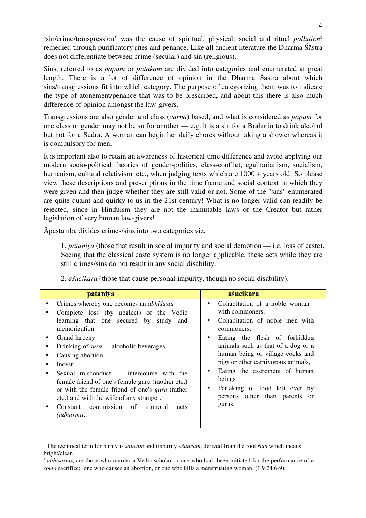'sin/crime/transgression' was the cause of spiritual, physical, social and ritual *pollution*<sup>3</sup> remedied through purificatory rites and penance. Like all ancient literature the Dharma Śāstra does not differentiate between crime (secular) and sin (religious).

Sins, referred to as *pāpam* or *pātakam* are divided into categories and enumerated at great length. There is a lot of difference of opinion in the Dharma Śāstra about which sins/transgressions fit into which category. The purpose of categorizing them was to indicate the type of atonement/penance that was to be prescribed, and about this there is also much difference of opinion amongst the law-givers.

Transgressions are also gender and class (*varna*) based, and what is considered as *pāpam* for one class or gender may not be so for another — e.g. it is a sin for a Brahmin to drink alcohol but not for a Sūdra. A woman can begin her daily chores without taking a shower whereas it is compulsory for men.

It is important also to retain an awareness of historical time difference and avoid applying our modern socio-political theories of gender-politics, class-conflict, egalitarianism, socialism, humanism, cultural relativism etc., when judging texts which are  $1000 + \text{years}$  old! So please view these descriptions and prescriptions in the time frame and social context in which they were given and then judge whether they are still valid or not. Some of the "sins" enumerated are quite quaint and quirky to us in the 21st century! What is no longer valid can readily be rejected, since in Hinduism they are not the immutable laws of the Creator but rather legislation of very human law-givers!

Āpastamba divides crimes/sins into two categories viz.

1. *pataniya* (those that result in social impurity and social demotion — i.e. loss of caste). Seeing that the classical caste system is no longer applicable, these acts while they are still crimes/sins do not result in any social disability.

| pataniya                                                                                                                                                                                                                                                                                                                                                                                                                                                                                                                                      | aśucikara                                                                                                                                                                                                                                                                                                                                                                 |
|-----------------------------------------------------------------------------------------------------------------------------------------------------------------------------------------------------------------------------------------------------------------------------------------------------------------------------------------------------------------------------------------------------------------------------------------------------------------------------------------------------------------------------------------------|---------------------------------------------------------------------------------------------------------------------------------------------------------------------------------------------------------------------------------------------------------------------------------------------------------------------------------------------------------------------------|
| Crimes whereby one becomes an <i>abhisasta</i> <sup>4</sup><br>$\bullet$<br>Complete loss (by neglect) of the Vedic<br>learning that one secured by study and<br>memorization.<br>Grand larceny<br>Drinking of $sura$ — alcoholic beverages.<br>Causing abortion<br>Incest<br>Sexual misconduct $-$ intercourse with the<br>female friend of one's female guru (mother etc.)<br>or with the female friend of one's <i>guru</i> (father<br>etc.) and with the wife of any stranger.<br>commission of immoral<br>Constant<br>acts<br>(adharma). | Cohabitation of a noble woman<br>with commoners,<br>Cohabitation of noble men with<br>commoners.<br>Eating the flesh of forbidden<br>animals such as that of a dog or a<br>human being or village cocks and<br>pigs or other carnivorous animals,<br>Eating the excrement of human<br>beings<br>Partaking of food left over by<br>persons other than parents or<br>gurus. |

2. *aśucikara* (those that cause personal impurity, though no social disability).

 <sup>3</sup> The technical term for purity is *śaucam* and impurity *aśaucam*, derived from the root *śuci* which means bright/clear.

<sup>4</sup> *abhiśastas,* are those who murder a Vedic scholar or one who had been initiated for the performance of a *soma* sacrifice; one who causes an abortion, or one who kills a menstruating woman. (1.9.24.6-9).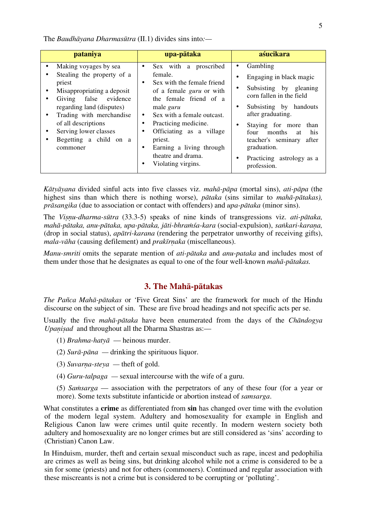The *Baudhāyana Dharmasūtra* (II.1) divides sins into*:—*

| pataniya                                                                                                                                                                                                                                                                                                | upa-pātaka                                                                                                                                                                                                                                                                                                                             | aśucikara                                                                                                                                                                                                                                                                                                                        |
|---------------------------------------------------------------------------------------------------------------------------------------------------------------------------------------------------------------------------------------------------------------------------------------------------------|----------------------------------------------------------------------------------------------------------------------------------------------------------------------------------------------------------------------------------------------------------------------------------------------------------------------------------------|----------------------------------------------------------------------------------------------------------------------------------------------------------------------------------------------------------------------------------------------------------------------------------------------------------------------------------|
| Making voyages by sea<br>$\bullet$<br>Stealing the property of a<br>priest<br>Misappropriating a deposit<br>Giving false evidence<br>٠<br>regarding land (disputes)<br>Trading with merchandise<br>$\bullet$<br>of all descriptions<br>Serving lower classes<br>٠<br>Begetting a child on a<br>commoner | Sex with a proscribed<br>female.<br>Sex with the female friend<br>٠<br>of a female <i>guru</i> or with<br>the female friend of a<br>male <i>guru</i><br>Sex with a female outcast.<br>$\bullet$<br>Practicing medicine.<br>Officiating as a village<br>priest.<br>Earning a living through<br>theatre and drama.<br>Violating virgins. | Gambling<br>٠<br>Engaging in black magic<br>$\bullet$<br>Subsisting by gleaning<br>٠<br>corn fallen in the field<br>Subsisting by handouts<br>٠<br>after graduating.<br>Staying for more than<br>٠<br>four<br>his<br>months<br>at<br>teacher's seminary<br>after<br>graduation.<br>Practicing astrology as a<br>٠<br>profession. |

*Kātyāyana* divided sinful acts into five classes viz. *mahā-pāpa* (mortal sins), *ati-pāpa* (the highest sins than which there is nothing worse), *pātaka* (sins similar to *mahā-pātakas), prāsangika* (due to association or contact with offenders) and *upa-pātaka* (minor sins).

The *Viṣṇu-dharma-sūtra* (33.3-5) speaks of nine kinds of transgressions viz. *ati-pātaka, mahā-pātaka, anu-pātaka, upa-pātaka, jāti-bhraṁśa-kara* (social-expulsion), *saṅkari-karaṇa,*  (drop in social status), *apātri-karana* (rendering the perpetrator unworthy of receiving gifts), *mala-vāha* (causing defilement) and *prakīrṇaka* (miscellaneous).

*Manu-smriti* omits the separate mention of *ati-pātaka* and *anu-pataka* and includes most of them under those that he designates as equal to one of the four well-known *mahā-pātakas.* 

### **3. The Mahā-pātakas**

*The Pañca Mahā-pātakas* or 'Five Great Sins' are the framework for much of the Hindu discourse on the subject of sin. These are five broad headings and not specific acts per se.

Usually the five *mahā-pātaka* have been enumerated from the days of the *Chāndogya Upanisad* and throughout all the Dharma Shastras as:—

- (1) *Brahma-hatyā* heinous murder.
- (2) *Surā-pāna —* drinking the spirituous liquor.
- (3) *Suvarṇa-steya —* theft of gold.
- (4) *Guru-talpaga —* sexual intercourse with the wife of a guru.
- (5) *Saṁsarga* association with the perpetrators of any of these four (for a year or more). Some texts substitute infanticide or abortion instead of *samsarga*.

What constitutes a **crime** as differentiated from **sin** has changed over time with the evolution of the modern legal system. Adultery and homosexuality for example in English and Religious Canon law were crimes until quite recently. In modern western society both adultery and homosexuality are no longer crimes but are still considered as 'sins' according to (Christian) Canon Law.

In Hinduism, murder, theft and certain sexual misconduct such as rape, incest and pedophilia are crimes as well as being sins, but drinking alcohol while not a crime is considered to be a sin for some (priests) and not for others (commoners). Continued and regular association with these miscreants is not a crime but is considered to be corrupting or 'polluting'.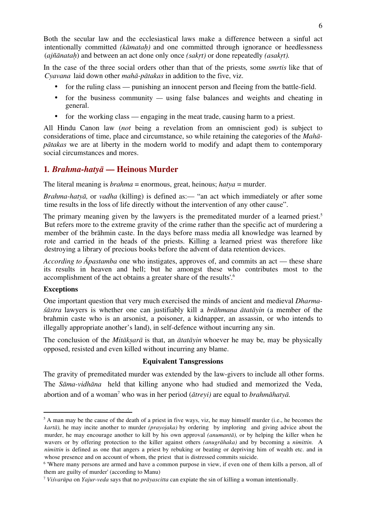Both the secular law and the ecclesiastical laws make a difference between a sinful act intentionally committed *(kāmataḥ)* and one committed through ignorance or heedlessness (*ajñānataḥ*) and between an act done only once *(sakṛt)* or done repeatedly *(asakṛt).* 

In the case of the three social orders other than that of the priests*,* some *smrtis* like that of *Cyavana* laid down other *mahā-pātakas* in addition to the five, viz.

- for the ruling class punishing an innocent person and fleeing from the battle-field.
- for the business community using false balances and weights and cheating in general.
- for the working class engaging in the meat trade, causing harm to a priest.

All Hindu Canon law (*not* being a revelation from an omniscient god) is subject to considerations of time, place and circumstance, so while retaining the categories of the *Mahāpātakas* we are at liberty in the modern world to modify and adapt them to contemporary social circumstances and mores.

# **1***. Brahma-hatyā* **— Heinous Murder**

The literal meaning is *brahma* = enormous, great, heinous; *hatya* = murder.

*Brahma-hatyā,* or *vadha* (killing) is defined as:— "an act which immediately or after some time results in the loss of life directly without the intervention of any other cause".

The primary meaning given by the lawyers is the premeditated murder of a learned priest.<sup>5</sup> But refers more to the extreme gravity of the crime rather than the specific act of murdering a member of the brāhmin caste. In the days before mass media all knowledge was learned by rote and carried in the heads of the priests. Killing a learned priest was therefore like destroying a library of precious books before the advent of data retention devices.

*According to Āpastamba* one who instigates, approves of, and commits an act — these share its results in heaven and hell; but he amongst these who contributes most to the accomplishment of the act obtains a greater share of the results'.6

## **Exceptions**

One important question that very much exercised the minds of ancient and medieval *Dharmaśāstra* lawyers is whether one can justifiably kill a *brāhmaṇa ātatāyin* (a member of the brahmin caste who is an arsonist, a poisoner, a kidnapper, an assassin, or who intends to illegally appropriate another's land), in self-defence without incurring any sin.

The conclusion of the *Mitākṣarā* is that, an *ātatāyin* whoever he may be*,* may be physically opposed, resisted and even killed without incurring any blame.

### **Equivalent Tansgressions**

The gravity of premeditated murder was extended by the law-givers to include all other forms. The *Sāma-vidhāna* held that killing anyone who had studied and memorized the Veda, abortion and of a woman7 who was in her period (*ātreyi)* are equal to *brahmāhatyā.*

 $5$  A man may be the cause of the death of a priest in five ways, viz, he may himself murder (i.e., he becomes the *kartā),* he may incite another to murder *(prayojaka)* by ordering by imploring and giving advice about the murder, he may encourage another to kill by his own approval *(anumantā),* or by helping the killer when he wavers or by offering protection to the killer against others *(anugrāhaka)* and by becoming a *nimittin.* A *nimittin* is defined as one that angers a priest by rebuking or beating or depriving him of wealth etc. and in whose presence and on account of whom, the priest that is distressed commits suicide.

<sup>&</sup>lt;sup>6</sup> 'Where many persons are armed and have a common purpose in view, if even one of them kills a person, all of them are guilty of murder' (according to Manu)

<sup>7</sup> *Viśvarūpa* on *Yajur-veda* says that no *prāyascitta* can expiate the sin of killing a woman intentionally.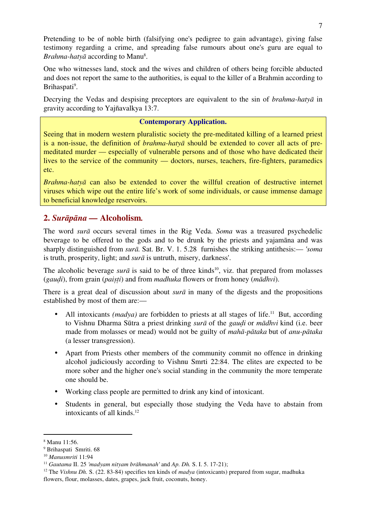Pretending to be of noble birth (falsifying one's pedigree to gain advantage), giving false testimony regarding a crime, and spreading false rumours about one's guru are equal to *Brahma-hatyā* according to Manu<sup>8</sup>.

One who witnesses land, stock and the wives and children of others being forcible abducted and does not report the same to the authorities, is equal to the killer of a Brahmin according to Brihaspati<sup>9</sup>.

Decrying the Vedas and despising preceptors are equivalent to the sin of *brahma-hatyā* in gravity according to Yajñavalkya 13:7.

# **Contemporary Application.**

Seeing that in modern western pluralistic society the pre-meditated killing of a learned priest is a non-issue, the definition of *brahma-hatyā* should be extended to cover all acts of premeditated murder — especially of vulnerable persons and of those who have dedicated their lives to the service of the community — doctors, nurses, teachers, fire-fighters, paramedics etc.

*Brahma-hatyā* can also be extended to cover the willful creation of destructive internet viruses which wipe out the entire life's work of some individuals, or cause immense damage to beneficial knowledge reservoirs.

# **2.** *Surāpāna —* **Alcoholism***.*

The word *surā* occurs several times in the Rig Veda. *Soma* was a treasured psychedelic beverage to be offered to the gods and to be drunk by the priests and yajamāna and was sharply distinguished from *surā.* Sat. Br. V. 1. 5.28 furnishes the striking antithesis:— *'soma*  is truth, prosperity, light; and *surā* is untruth, misery, darkness'.

The alcoholic beverage *sur* $\bar{a}$  is said to be of three kinds<sup>10</sup>, viz. that prepared from molasses (*gauḍi*), from grain (*paiṣṭi*) and from *madhuka* flowers or from honey (*mādhvi*).

There is a great deal of discussion about *surā* in many of the digests and the propositions established by most of them are:—

- All intoxicants *(madya)* are forbidden to priests at all stages of life.<sup>11</sup> But, according to Vishnu Dharma Sūtra a priest drinking *surā* of the *gauḍi* or *mādhvi* kind (i.e. beer made from molasses or mead) would not be guilty of *mahā-pātaka* but of *anu-pātaka*  (a lesser transgression).
- Apart from Priests other members of the community commit no offence in drinking alcohol judiciously according to Vishnu Smrti 22:84. The elites are expected to be more sober and the higher one's social standing in the community the more temperate one should be.
- Working class people are permitted to drink any kind of intoxicant.
- Students in general, but especially those studying the Veda have to abstain from intoxicants of all kinds.12

 <sup>8</sup> Manu 11:56.

<sup>9</sup> Brihaspati Smriti. 68

<sup>10</sup> *Manusmriti* 11:94

<sup>11</sup> *Gautama* II. 25 *'madyam nityam brāhmanah'* and *Ap. Dh.* S. I. 5. 17-21);

<sup>12</sup> The *Vishnu Dh.* S. (22. 83-84) specifies ten kinds of *madya* (intoxicants) prepared from sugar, madhuka flowers, flour, molasses, dates, grapes, jack fruit, coconuts, honey.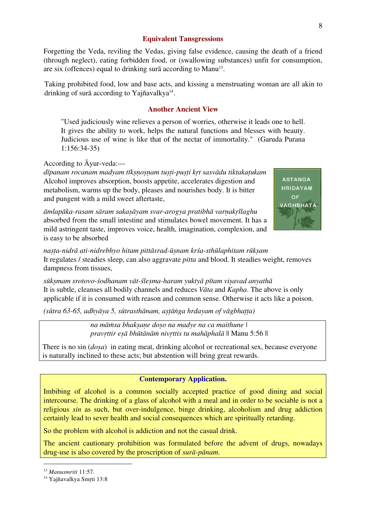### **Equivalent Tansgressions**

Forgetting the Veda, reviling the Vedas, giving false evidence, causing the death of a friend (through neglect), eating forbidden food, or (swallowing substances) unfit for consumption, are six (offences) equal to drinking surā according to Manu<sup>13</sup>.

Taking prohibited food, low and base acts, and kissing a menstruating woman are all akin to drinking of surā according to Yajñavalkya $14$ .

### **Another Ancient View**

"Used judiciously wine relieves a person of worries, otherwise it leads one to hell. It gives the ability to work, helps the natural functions and blesses with beauty. Judicious use of wine is like that of the nectar of immortality." (Garuda Purana 1:156:34-35)

According to Āyur-veda:—

*dīpanam rocanam madyam tīkṣṇoṣṇam tuṣṭi-puṣṭi kṛt sasvādu tiktakaṭukam*  Alcohol improves absorption, boosts appetite, accelerates digestion and metabolism, warms up the body, pleases and nourishes body. It is bitter and pungent with a mild sweet aftertaste,

*āmlapāka-rasam sāram sakaṣāyam svar-arogya pratibhā varṇakṛllaghu* absorbed from the small intestine and stimulates bowel movement. It has a mild astringent taste, improves voice, health, imagination, complexion, and is easy to be absorbed



*naṣṭa-nidrā ati-nidrebhyo hitam pittāsrad-ūṣnam krśa-sthūlaphitam rūkṣam*  It regulates / steadies sleep, can also aggravate *pitta* and blood. It steadies weight, removes dampness from tissues,

*sūkṣmam srotovo-śodhanam vāt-śleṣma-haram yuktyā pītam viṣavad anyathā* It is subtle, cleanses all bodily channels and reduces *Vāta* and *Kapha*. The above is only applicable if it is consumed with reason and common sense. Otherwise it acts like a poison.

*(sūtra 63-65, adhyāya 5, sūtrasthānam, aṣṭāṅga hrdayam of vāgbhaṭṭa)*

*na māṁsa bhakṣaṇe doṣo na madye na ca maithune | pravṛttir eṣā bhūtānāṁ nivṛttis tu mahāphalā* || Manu 5:56 ||

There is no sin (*doṣa*) in eating meat, drinking alcohol or recreational sex, because everyone is naturally inclined to these acts; but abstention will bring great rewards.

### **Contemporary Application.**

Imbibing of alcohol is a common socially accepted practice of good dining and social intercourse. The drinking of a glass of alcohol with a meal and in order to be sociable is not a religious *sin* as such, but over-indulgence, binge drinking, alcoholism and drug addiction certainly lead to sever health and social consequences which are spiritually retarding.

So the problem with alcohol is addiction and not the casual drink.

The ancient cautionary prohibition was formulated before the advent of drugs, nowadays drug-use is also covered by the proscription of *surā-pānam*.

 <sup>13</sup> *Manusmriti* 11:57.

<sup>&</sup>lt;sup>14</sup> Yajñavalkya Smrti 13:8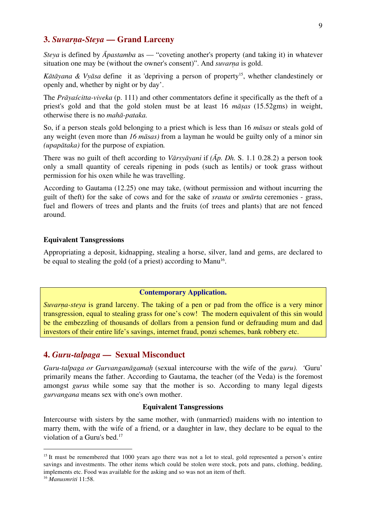# **3.** *Suvarṇa-Steya* **— Grand Larceny**

*Steya* is defined by *Āpastamba* as — "coveting another's property (and taking it) in whatever situation one may be (without the owner's consent)". And *suvarṇa* is gold.

*Kātāyana* & *Vyāsa* define it as 'depriving a person of property<sup>15</sup>, whether clandestinely or openly and, whether by night or by day'.

The *Prāyaścitta-viveka* (p. 111) and other commentators define it specifically as the theft of a priest's gold and that the gold stolen must be at least 16 *māṣas* (15.52gms) in weight, otherwise there is no *mahā-pataka.* 

So, if a person steals gold belonging to a priest which is less than 16 *māsas* or steals gold of any weight (even more than *16 māsas)* from a layman he would be guilty only of a minor sin *(upapātaka)* for the purpose of expiation*.* 

There was no guilt of theft according to *Vārsyāyani* if *(Āp. Dh.* S. 1.1 0.28.2) a person took only a small quantity of cereals ripening in pods (such as lentils*)* or took grass without permission for his oxen while he was travelling.

According to Gautama (12.25) one may take, (without permission and without incurring the guilt of theft) for the sake of cows and for the sake of *srauta* or *smārta* ceremonies - grass, fuel and flowers of trees and plants and the fruits (of trees and plants) that are not fenced around.

#### **Equivalent Tansgressions**

Appropriating a deposit, kidnapping, stealing a horse, silver, land and gems, are declared to be equal to stealing the gold (of a priest) according to Manu<sup>16</sup>.

### **Contemporary Application.**

*Suvarna-steya* is grand larceny. The taking of a pen or pad from the office is a very minor transgression, equal to stealing grass for one's cow! The modern equivalent of this sin would be the embezzling of thousands of dollars from a pension fund or defrauding mum and dad investors of their entire life's savings, internet fraud, ponzi schemes, bank robbery etc.

## **4.** *Guru-talpaga* **— Sexual Misconduct**

*Guru-talpaga or Gurvanganāgamaḥ* (sexual intercourse with the wife of the *guru). '*Guru' primarily means the father. According to Gautama, the teacher (of the Veda) is the foremost amongst *gurus* while some say that the mother is so. According to many legal digests *gurvangana* means sex with one's own mother.

#### **Equivalent Tansgressions**

Intercourse with sisters by the same mother, with (unmarried) maidens with no intention to marry them, with the wife of a friend, or a daughter in law, they declare to be equal to the violation of a Guru's bed.17

<sup>&</sup>lt;sup>15</sup> It must be remembered that 1000 years ago there was not a lot to steal, gold represented a person's entire savings and investments. The other items which could be stolen were stock, pots and pans, clothing, bedding, implements etc. Food was available for the asking and so was not an item of theft.

<sup>16</sup> *Manusmriti* 11:58.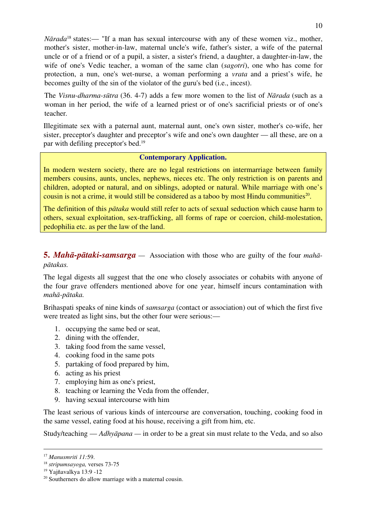*N* $\bar{a}$ *rada*<sup>18</sup> states:— "If a man has sexual intercourse with any of these women viz., mother, mother's sister, mother-in-law, maternal uncle's wife, father's sister, a wife of the paternal uncle or of a friend or of a pupil, a sister, a sister's friend, a daughter, a daughter-in-law, the wife of one's Vedic teacher, a woman of the same clan (*sagotri*), one who has come for protection, a nun, one's wet-nurse, a woman performing a *vrata* and a priest's wife, he becomes guilty of the sin of the violator of the guru's bed (i.e., incest).

The *Visnu-dharma-sūtra* (36. 4-7) adds a few more women to the list of *Nārada* (such as a woman in her period, the wife of a learned priest or of one's sacrificial priests or of one's teacher*.* 

Illegitimate sex with a paternal aunt, maternal aunt, one's own sister, mother's co-wife, her sister, preceptor's daughter and preceptor's wife and one's own daughter — all these, are on a par with defiling preceptor's bed.19

## **Contemporary Application.**

In modern western society, there are no legal restrictions on intermarriage between family members cousins, aunts, uncles, nephews, nieces etc. The only restriction is on parents and children, adopted or natural, and on siblings, adopted or natural. While marriage with one's cousin is not a crime, it would still be considered as a taboo by most Hindu communities<sup>20</sup>.

The definition of this *pātaka* would still refer to acts of sexual seduction which cause harm to others, sexual exploitation, sex-trafficking, all forms of rape or coercion, child-molestation, pedophilia etc. as per the law of the land.

**5.** *Mahā-pātaki-samsarga —* Association with those who are guilty of the four *mahāpātakas.*

The legal digests all suggest that the one who closely associates or cohabits with anyone of the four grave offenders mentioned above for one year, himself incurs contamination with *mahā-pātaka.*

Brihaspati speaks of nine kinds of *samsarga* (contact or association) out of which the first five were treated as light sins, but the other four were serious:—

- 1. occupying the same bed or seat,
- 2. dining with the offender,
- 3. taking food from the same vessel,
- 4. cooking food in the same pots
- 5. partaking of food prepared by him,
- 6. acting as his priest
- 7. employing him as one's priest,
- 8. teaching or learning the Veda from the offender,
- 9. having sexual intercourse with him

The least serious of various kinds of intercourse are conversation, touching, cooking food in the same vessel, eating food at his house, receiving a gift from him, etc.

Study/teaching — *Adhyāpana —* in order to be a great sin must relate to the Veda, and so also

 <sup>17</sup> *Manusmriti 11:*59.

<sup>18</sup> *stripumsayoga,* verses 73-75

<sup>19</sup> Yajñavalkya 13:9 -12

<sup>20</sup> Southerners do allow marriage with a maternal cousin.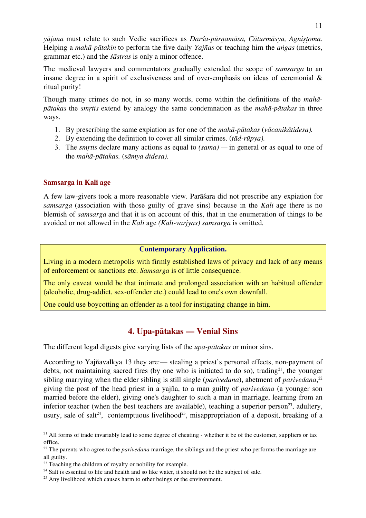*yājana* must relate to such Vedic sacrifices as *Darśa-pūrṇamāsa, Cāturmāsya, Agniṣṭoma.*  Helping a *mahā-pātakin* to perform the five daily *Yajñas* or teaching him the *aṅgas* (metrics, grammar etc.) and the *śāstras* is only a minor offence.

The medieval lawyers and commentators gradually extended the scope of *samsarga* to an insane degree in a spirit of exclusiveness and of over-emphasis on ideas of ceremonial & ritual purity!

Though many crimes do not, in so many words, come within the definitions of the *mahāpātakas* the *smṛtis* extend by analogy the same condemnation as the *mahā-pātakas* in three ways.

- 1. By prescribing the same expiation as for one of the *mahā-pātakas* (*vācanikātidesa).*
- 2. By extending the definition to cover all similar crimes. (*tād-rūpya).*
- 3. The *smṛtis* declare many actions as equal to *(sama) —* in general or as equal to one of the *mahā-pātakas.* (*sāmya didesa).*

## **Samsarga in Kali age**

A few law-givers took a more reasonable view. Parāśara did not prescribe any expiation for *samsarga* (association with those guilty of grave sins) because in the *Kali* age there is no blemish of *samsarga* and that it is on account of this, that in the enumeration of things to be avoided or not allowed in the *Kali* age *(Kali-varjyas) samsarga* is omitted*.*

## **Contemporary Application.**

Living in a modern metropolis with firmly established laws of privacy and lack of any means of enforcement or sanctions etc. *Samsarga* is of little consequence.

The only caveat would be that intimate and prolonged association with an habitual offender (alcoholic, drug-addict, sex-offender etc.) could lead to one's own downfall.

One could use boycotting an offender as a tool for instigating change in him.

# **4. Upa-pātakas — Venial Sins**

The different legal digests give varying lists of the *upa-pātakas* or minor sins.

According to Yajñavalkya 13 they are:— stealing a priest's personal effects, non-payment of debts, not maintaining sacred fires (by one who is initiated to do so), trading<sup>21</sup>, the younger sibling marrying when the elder sibling is still single (*parivedana*), abetment of *parivedana*, 22 giving the post of the head priest in a yajña, to a man guilty of *parivedana* (a younger son married before the elder), giving one's daughter to such a man in marriage, learning from an inferior teacher (when the best teachers are available), teaching a superior person<sup>23</sup>, adultery, usury, sale of salt<sup>24</sup>, contemptuous livelihood<sup>25</sup>, misappropriation of a deposit, breaking of a

 $^{21}$  All forms of trade invariably lead to some degree of cheating - whether it be of the customer, suppliers or tax office.

<sup>&</sup>lt;sup>22</sup> The parents who agree to the *parivedana* marriage, the siblings and the priest who performs the marriage are all guilty.

<sup>&</sup>lt;sup>23</sup> Teaching the children of royalty or nobility for example.

 $24$  Salt is essential to life and health and so like water, it should not be the subject of sale.

<sup>&</sup>lt;sup>25</sup> Any livelihood which causes harm to other beings or the environment.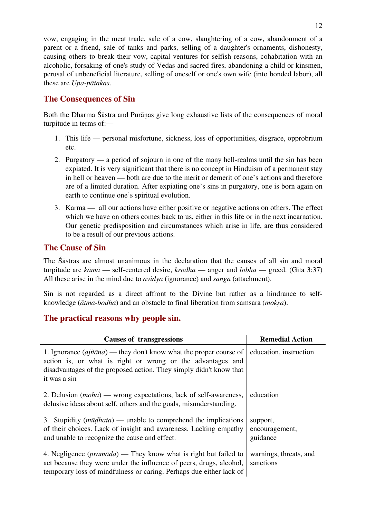vow, engaging in the meat trade, sale of a cow, slaughtering of a cow, abandonment of a parent or a friend, sale of tanks and parks, selling of a daughter's ornaments, dishonesty, causing others to break their vow, capital ventures for selfish reasons, cohabitation with an alcoholic, forsaking of one's study of Vedas and sacred fires, abandoning a child or kinsmen, perusal of unbeneficial literature, selling of oneself or one's own wife (into bonded labor), all these are *Upa-pātakas*.

# **The Consequences of Sin**

Both the Dharma Śāstra and Purāṇas give long exhaustive lists of the consequences of moral turpitude in terms of:—

- 1. This life personal misfortune, sickness, loss of opportunities, disgrace, opprobrium etc.
- 2. Purgatory a period of sojourn in one of the many hell-realms until the sin has been expiated. It is very significant that there is no concept in Hinduism of a permanent stay in hell or heaven — both are due to the merit or demerit of one's actions and therefore are of a limited duration. After expiating one's sins in purgatory, one is born again on earth to continue one's spiritual evolution.
- 3. Karma all our actions have either positive or negative actions on others. The effect which we have on others comes back to us, either in this life or in the next incarnation. Our genetic predisposition and circumstances which arise in life, are thus considered to be a result of our previous actions.

# **The Cause of Sin**

The Śāstras are almost unanimous in the declaration that the causes of all sin and moral turpitude are *kāmā* — self-centered desire, *krodha* — anger and *lobha* — greed. (Gīta 3:37) All these arise in the mind due to *avidya* (ignorance) and *sanga* (attachment).

Sin is not regarded as a direct affront to the Divine but rather as a hindrance to selfknowledge (*ātma-bodha*) and an obstacle to final liberation from samsara (*mokṣa*).

# **The practical reasons why people sin.**

| <b>Causes of transgressions</b>                                                                                                                                                                                                        | <b>Remedial Action</b>                 |
|----------------------------------------------------------------------------------------------------------------------------------------------------------------------------------------------------------------------------------------|----------------------------------------|
| 1. Ignorance $(a\tilde{m}\tilde{a}na)$ — they don't know what the proper course of<br>action is, or what is right or wrong or the advantages and<br>disadvantages of the proposed action. They simply didn't know that<br>it was a sin | education, instruction                 |
| 2. Delusion ( <i>moha</i> ) — wrong expectations, lack of self-awareness,<br>delusive ideas about self, others and the goals, misunderstanding.                                                                                        | education                              |
| 3. Stupidity $(m\bar{u}dhat{a})$ — unable to comprehend the implications<br>of their choices. Lack of insight and awareness. Lacking empathy<br>and unable to recognize the cause and effect.                                          | support,<br>encouragement,<br>guidance |
| 4. Negligence ( $pram\bar{a}da$ ) — They know what is right but failed to<br>act because they were under the influence of peers, drugs, alcohol,<br>temporary loss of mindfulness or caring. Perhaps due either lack of                | warnings, threats, and<br>sanctions    |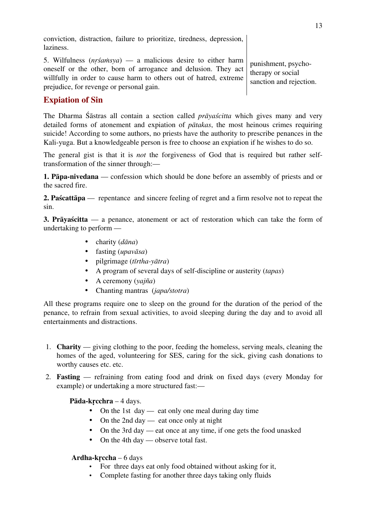conviction, distraction, failure to prioritize, tiredness, depression, laziness.

5. Wilfulness (*nṛśaṁsya*) — a malicious desire to either harm oneself or the other, born of arrogance and delusion. They act willfully in order to cause harm to others out of hatred, extreme prejudice, for revenge or personal gain.

punishment, psychotherapy or social sanction and rejection.

# **Expiation of Sin**

The Dharma Śāstras all contain a section called *prāyaścitta* which gives many and very detailed forms of atonement and expiation of *pātakas*, the most heinous crimes requiring suicide! According to some authors, no priests have the authority to prescribe penances in the Kali-yuga. But a knowledgeable person is free to choose an expiation if he wishes to do so.

The general gist is that it is *not* the forgiveness of God that is required but rather selftransformation of the sinner through:—

**1. Pāpa-nivedana** — confession which should be done before an assembly of priests and or the sacred fire.

**2. Paścattāpa** — repentance and sincere feeling of regret and a firm resolve not to repeat the sin.

**3. Prāyaścitta** — a penance, atonement or act of restoration which can take the form of undertaking to perform —

- charity (*dāna*)
- fasting (*upavāsa*)
- pilgrimage (*tīrtha-yātra*)
- A program of several days of self-discipline or austerity (*tapas*)
- A ceremony (*yajña*)
- Chanting mantras (*japa/stotra*)

All these programs require one to sleep on the ground for the duration of the period of the penance, to refrain from sexual activities, to avoid sleeping during the day and to avoid all entertainments and distractions.

- 1. **Charity** giving clothing to the poor, feeding the homeless, serving meals, cleaning the homes of the aged, volunteering for SES, caring for the sick, giving cash donations to worthy causes etc. etc.
- 2. **Fasting** refraining from eating food and drink on fixed days (every Monday for example) or undertaking a more structured fast:—

**Pāda-kṛcchra** – 4 days.

- On the 1st day eat only one meal during day time
- On the 2nd day eat once only at night
- On the 3rd day eat once at any time, if one gets the food unasked
- On the 4th day observe total fast.

## **Ardha-kṛccha** – 6 days

- For three days eat only food obtained without asking for it,
- Complete fasting for another three days taking only fluids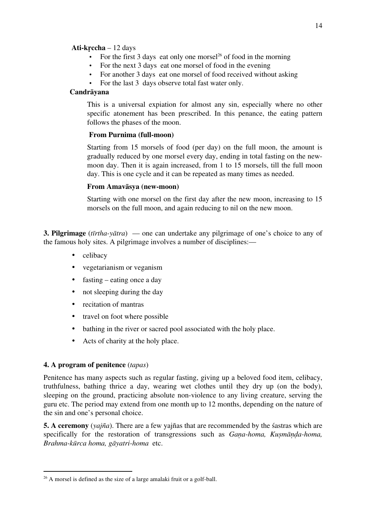### **Ati-kṛccha** – 12 days

- For the first 3 days eat only one morsel<sup>26</sup> of food in the morning
- For the next 3 days eat one morsel of food in the evening
- For another 3 days eat one morsel of food received without asking
- For the last 3 days observe total fast water only.

### **Candrāyana**

This is a universal expiation for almost any sin, especially where no other specific atonement has been prescribed. In this penance, the eating pattern follows the phases of the moon.

### **From Purnima (full-moon)**

Starting from 15 morsels of food (per day) on the full moon, the amount is gradually reduced by one morsel every day, ending in total fasting on the newmoon day. Then it is again increased, from 1 to 15 morsels, till the full moon day. This is one cycle and it can be repeated as many times as needed.

### **From Amavāsya (new-moon)**

Starting with one morsel on the first day after the new moon, increasing to 15 morsels on the full moon, and again reducing to nil on the new moon.

**3. Pilgrimage** (*tīrtha-yātra*) — one can undertake any pilgrimage of one's choice to any of the famous holy sites. A pilgrimage involves a number of disciplines:—

- celibacy
- vegetarianism or veganism
- fasting eating once a day
- not sleeping during the day
- recitation of mantras
- travel on foot where possible
- bathing in the river or sacred pool associated with the holy place.
- Acts of charity at the holy place.

### **4. A program of penitence** (*tapas*)

Penitence has many aspects such as regular fasting, giving up a beloved food item, celibacy, truthfulness, bathing thrice a day, wearing wet clothes until they dry up (on the body), sleeping on the ground, practicing absolute non-violence to any living creature, serving the guru etc. The period may extend from one month up to 12 months, depending on the nature of the sin and one's personal choice.

**5. A ceremony** (*yajña*). There are a few yajñas that are recommended by the śastras which are specifically for the restoration of transgressions such as *Gaṇa-homa, Kuṣmāṇḍa-homa, Brahma-kūrca homa, gāyatri-homa* etc.

<sup>&</sup>lt;sup>26</sup> A morsel is defined as the size of a large amalaki fruit or a golf-ball.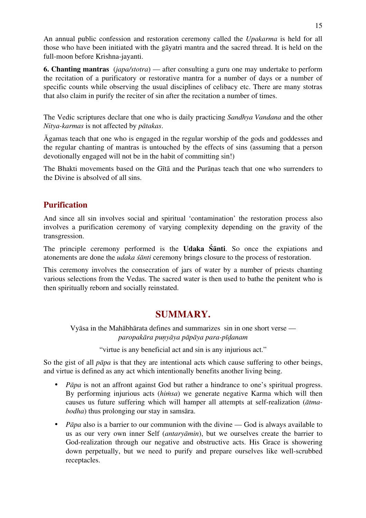An annual public confession and restoration ceremony called the *Upakarma* is held for all those who have been initiated with the gāyatri mantra and the sacred thread. It is held on the full-moon before Krishna-jayanti.

**6. Chanting mantras** (*japa/stotra*) — after consulting a guru one may undertake to perform the recitation of a purificatory or restorative mantra for a number of days or a number of specific counts while observing the usual disciplines of celibacy etc. There are many stotras that also claim in purify the reciter of sin after the recitation a number of times.

The Vedic scriptures declare that one who is daily practicing *Sandhya Vandana* and the other *Nitya-karmas* is not affected by *pātakas*.

Āgamas teach that one who is engaged in the regular worship of the gods and goddesses and the regular chanting of mantras is untouched by the effects of sins (assuming that a person devotionally engaged will not be in the habit of committing sin!)

The Bhakti movements based on the Gītā and the Purāṇas teach that one who surrenders to the Divine is absolved of all sins.

# **Purification**

And since all sin involves social and spiritual 'contamination' the restoration process also involves a purification ceremony of varying complexity depending on the gravity of the transgression.

The principle ceremony performed is the **Udaka Śānti**. So once the expiations and atonements are done the *udaka śānti* ceremony brings closure to the process of restoration.

This ceremony involves the consecration of jars of water by a number of priests chanting various selections from the Vedas. The sacred water is then used to bathe the penitent who is then spiritually reborn and socially reinstated.

# **SUMMARY.**

Vyāsa in the Mahābhārata defines and summarizes sin in one short verse *paropakāra puṇyāya pāpāya para-pīḍanam*

"virtue is any beneficial act and sin is any injurious act."

So the gist of all *pāpa* is that they are intentional acts which cause suffering to other beings, and virtue is defined as any act which intentionally benefits another living being.

- *Pāpa* is not an affront against God but rather a hindrance to one's spiritual progress. By performing injurious acts (*hiṁsa*) we generate negative Karma which will then causes us future suffering which will hamper all attempts at self-realization (*ātmabodha*) thus prolonging our stay in samsāra.
- *Pāpa* also is a barrier to our communion with the divine God is always available to us as our very own inner Self (*antaryāmin*), but we ourselves create the barrier to God-realization through our negative and obstructive acts. His Grace is showering down perpetually, but we need to purify and prepare ourselves like well-scrubbed receptacles.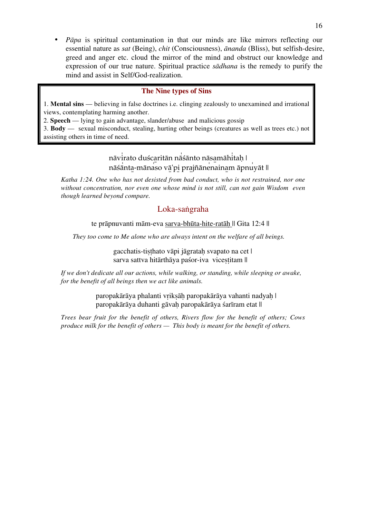• *Pāpa* is spiritual contamination in that our minds are like mirrors reflecting our essential nature as *sat* (Being), *chit* (Consciousness), *ānanda* (Bliss), but selfish-desire, greed and anger etc. cloud the mirror of the mind and obstruct our knowledge and expression of our true nature. Spiritual practice *sādhana* is the remedy to purify the mind and assist in Self/God-realization.

### **The Nine types of Sins**

1. **Mental sins** — believing in false doctrines i.e. clinging zealously to unexamined and irrational views, contemplating harming another.

2. **Speech** — lying to gain advantage, slander/abuse and malicious gossip

3. **Body** — sexual misconduct, stealing, hurting other beings (creatures as well as trees etc.) not assisting others in time of need.

# nāvi̍rato duśca̱ritān nā̍śānto nāsa̱māhi̍taḥ | nāśānta-mānaso vā'pi prajñānenainam āpnuyāt ||

*Katha 1:24. One who has not desisted from bad conduct, who is not restrained, nor one without concentration, nor even one whose mind is not still, can not gain Wisdom even though learned beyond compare.*

## Loka-saṅgraha

te prāpnuvanti mām-eva sarva-bhūta-hite-ratāḥ || Gita 12:4 ||

*They too come to Me alone who are always intent on the welfare of all beings.*

gacchatis-tiṣṭhato vāpi jāgrataḥ svapato na cet | sarva sattva hitārthāya paśor-iva vicestitam ||

*If we don't dedicate all our actions, while walking, or standing, while sleeping or awake, for the benefit of all beings then we act like animals.*

> paropakārāya phalanti vriksāh paropakārāya vahanti nadyah | paropakārāya duhanti gāvah paropakārāya śarīram etat ||

*Trees bear fruit for the benefit of others, Rivers flow for the benefit of others; Cows produce milk for the benefit of others — This body is meant for the benefit of others.*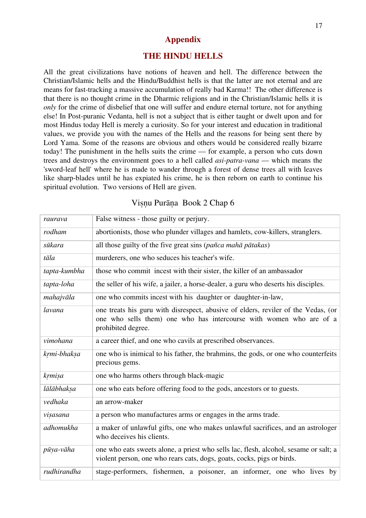# **Appendix**

## **THE HINDU HELLS**

All the great civilizations have notions of heaven and hell. The difference between the Christian/Islamic hells and the Hindu/Buddhist hells is that the latter are not eternal and are means for fast-tracking a massive accumulation of really bad Karma!! The other difference is that there is no thought crime in the Dharmic religions and in the Christian/Islamic hells it is *only* for the crime of disbelief that one will suffer and endure eternal torture, not for anything else! In Post-puranic Vedanta, hell is not a subject that is either taught or dwelt upon and for most Hindus today Hell is merely a curiosity. So for your interest and education in traditional values, we provide you with the names of the Hells and the reasons for being sent there by Lord Yama. Some of the reasons are obvious and others would be considered really bizarre today! The punishment in the hells suits the crime — for example, a person who cuts down trees and destroys the environment goes to a hell called *asi-patra-vana* — which means the 'sword-leaf hell' where he is made to wander through a forest of dense trees all with leaves like sharp-blades until he has expiated his crime, he is then reborn on earth to continue his spiritual evolution. Two versions of Hell are given.

| raurava      | False witness - those guilty or perjury.                                                                                                                                       |
|--------------|--------------------------------------------------------------------------------------------------------------------------------------------------------------------------------|
| rodham       | abortionists, those who plunder villages and hamlets, cow-killers, stranglers.                                                                                                 |
| sūkara       | all those guilty of the five great sins (pañca mahā pātakas)                                                                                                                   |
| tāla         | murderers, one who seduces his teacher's wife.                                                                                                                                 |
| tapta-kumbha | those who commit incest with their sister, the killer of an ambassador                                                                                                         |
| tapta-loha   | the seller of his wife, a jailer, a horse-dealer, a guru who deserts his disciples.                                                                                            |
| mahajvāla    | one who commits incest with his daughter or daughter-in-law,                                                                                                                   |
| lavana       | one treats his guru with disrespect, abusive of elders, reviler of the Vedas, (or<br>one who sells them) one who has intercourse with women who are of a<br>prohibited degree. |
| vimohana     | a career thief, and one who cavils at prescribed observances.                                                                                                                  |
| krmi-bhaksa  | one who is inimical to his father, the brahmins, the gods, or one who counterfeits<br>precious gems.                                                                           |
| krmisa       | one who harms others through black-magic                                                                                                                                       |
| lālābhaksa   | one who eats before offering food to the gods, ancestors or to guests.                                                                                                         |
| vedhaka      | an arrow-maker                                                                                                                                                                 |
| visasana     | a person who manufactures arms or engages in the arms trade.                                                                                                                   |
| adhomukha    | a maker of unlawful gifts, one who makes unlawful sacrifices, and an astrologer<br>who deceives his clients.                                                                   |
| pūya-vāha    | one who eats sweets alone, a priest who sells lac, flesh, alcohol, sesame or salt; a<br>violent person, one who rears cats, dogs, goats, cocks, pigs or birds.                 |
| rudhirandha  | stage-performers, fishermen, a poisoner, an informer, one who lives by                                                                                                         |

## Viṣṇu Purāṇa Book 2 Chap 6